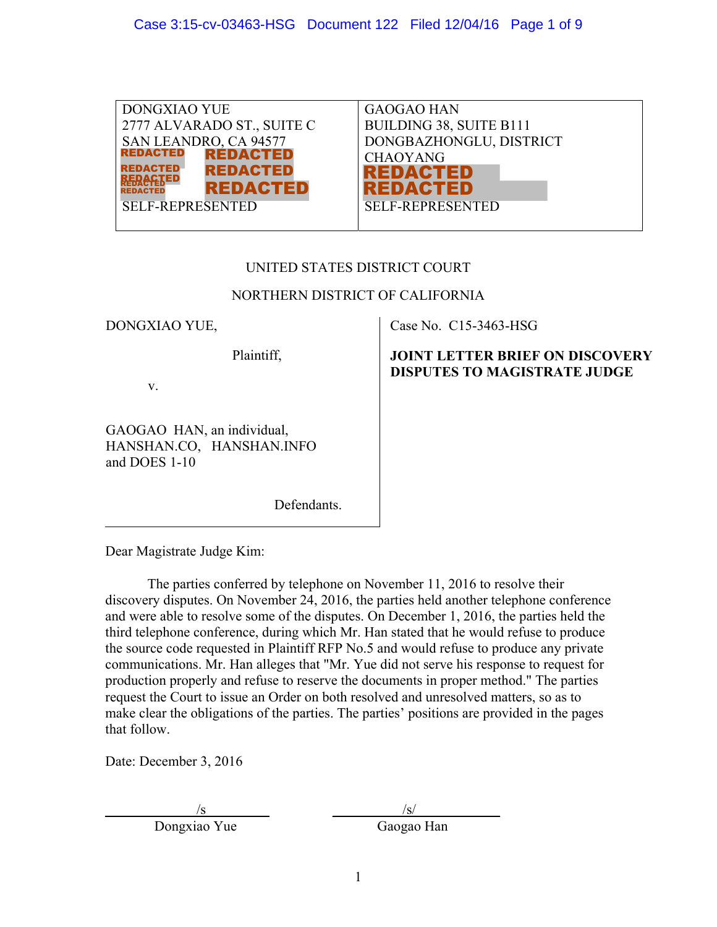| DONGXIAO YUE                       | <b>GAOGAO HAN</b>       |
|------------------------------------|-------------------------|
| 2777 ALVARADO ST., SUITE C         | BUILDING 38, SUITE B111 |
| SAN LEANDRO, CA 94577              | DONGBAZHONGLU, DISTRICT |
| <b>REDACTED</b><br><b>REDACTED</b> | <b>CHAOYANG</b>         |
| <b>REDACTED</b><br><b>REDACTED</b> | REDACTED                |
| <b>REDACTED</b><br><b>REDACTED</b> | REDACTED                |
| <b>SELF-REPRESENTED</b>            | <b>SELF-REPRESENTED</b> |
|                                    |                         |

# UNITED STATES DISTRICT COURT

# NORTHERN DISTRICT OF CALIFORNIA

Case No. C15-3463-HSG

**JOINT LETTER BRIEF ON DISCOVERY DISPUTES TO MAGISTRATE JUDGE** 

DONGXIAO YUE,

Plaintiff,

v.

GAOGAO HAN, an individual, HANSHAN.CO, HANSHAN.INFO and DOES 1-10

Defendants.

Dear Magistrate Judge Kim:

 The parties conferred by telephone on November 11, 2016 to resolve their discovery disputes. On November 24, 2016, the parties held another telephone conference and were able to resolve some of the disputes. On December 1, 2016, the parties held the third telephone conference, during which Mr. Han stated that he would refuse to produce the source code requested in Plaintiff RFP No.5 and would refuse to produce any private communications. Mr. Han alleges that "Mr. Yue did not serve his response to request for production properly and refuse to reserve the documents in proper method." The parties request the Court to issue an Order on both resolved and unresolved matters, so as to make clear the obligations of the parties. The parties' positions are provided in the pages that follow.

Date: December 3, 2016

Dongxiao Yue Gaogao Han

 $\sqrt{s}$   $\sqrt{s}$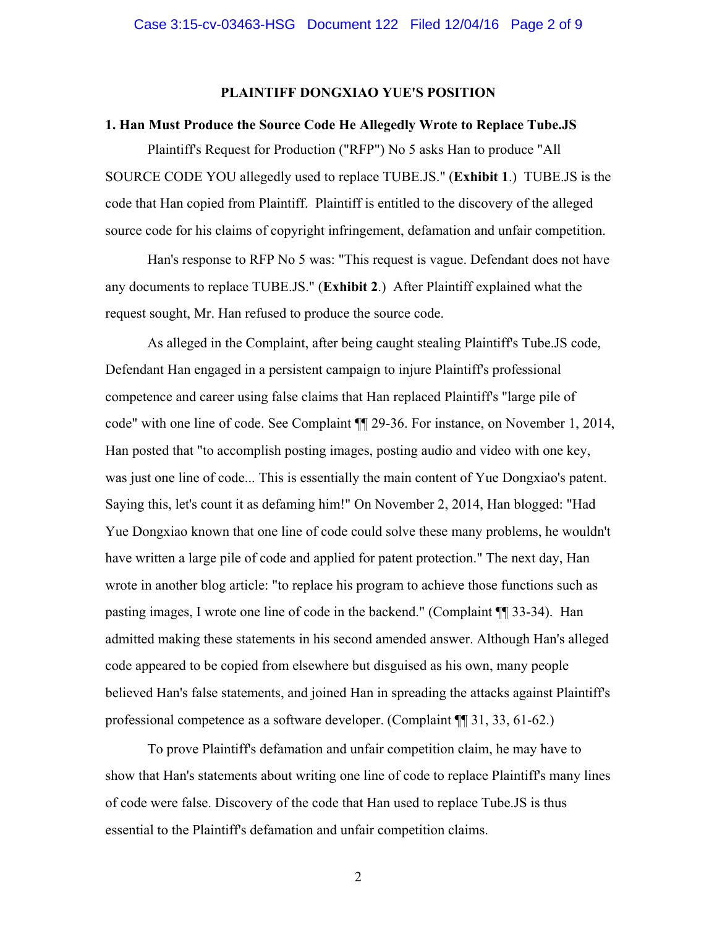### **PLAINTIFF DONGXIAO YUE'S POSITION**

## **1. Han Must Produce the Source Code He Allegedly Wrote to Replace Tube.JS**

 Plaintiff's Request for Production ("RFP") No 5 asks Han to produce "All SOURCE CODE YOU allegedly used to replace TUBE.JS." (**Exhibit 1**.) TUBE.JS is the code that Han copied from Plaintiff. Plaintiff is entitled to the discovery of the alleged source code for his claims of copyright infringement, defamation and unfair competition.

 Han's response to RFP No 5 was: "This request is vague. Defendant does not have any documents to replace TUBE.JS." (**Exhibit 2**.) After Plaintiff explained what the request sought, Mr. Han refused to produce the source code.

As alleged in the Complaint, after being caught stealing Plaintiff's Tube.JS code, Defendant Han engaged in a persistent campaign to injure Plaintiff's professional competence and career using false claims that Han replaced Plaintiff's "large pile of code" with one line of code. See Complaint ¶¶ 29-36. For instance, on November 1, 2014, Han posted that "to accomplish posting images, posting audio and video with one key, was just one line of code... This is essentially the main content of Yue Dongxiao's patent. Saying this, let's count it as defaming him!" On November 2, 2014, Han blogged: "Had Yue Dongxiao known that one line of code could solve these many problems, he wouldn't have written a large pile of code and applied for patent protection." The next day, Han wrote in another blog article: "to replace his program to achieve those functions such as pasting images, I wrote one line of code in the backend." (Complaint ¶¶ 33-34). Han admitted making these statements in his second amended answer. Although Han's alleged code appeared to be copied from elsewhere but disguised as his own, many people believed Han's false statements, and joined Han in spreading the attacks against Plaintiff's professional competence as a software developer. (Complaint ¶¶ 31, 33, 61-62.)

 To prove Plaintiff's defamation and unfair competition claim, he may have to show that Han's statements about writing one line of code to replace Plaintiff's many lines of code were false. Discovery of the code that Han used to replace Tube.JS is thus essential to the Plaintiff's defamation and unfair competition claims.

2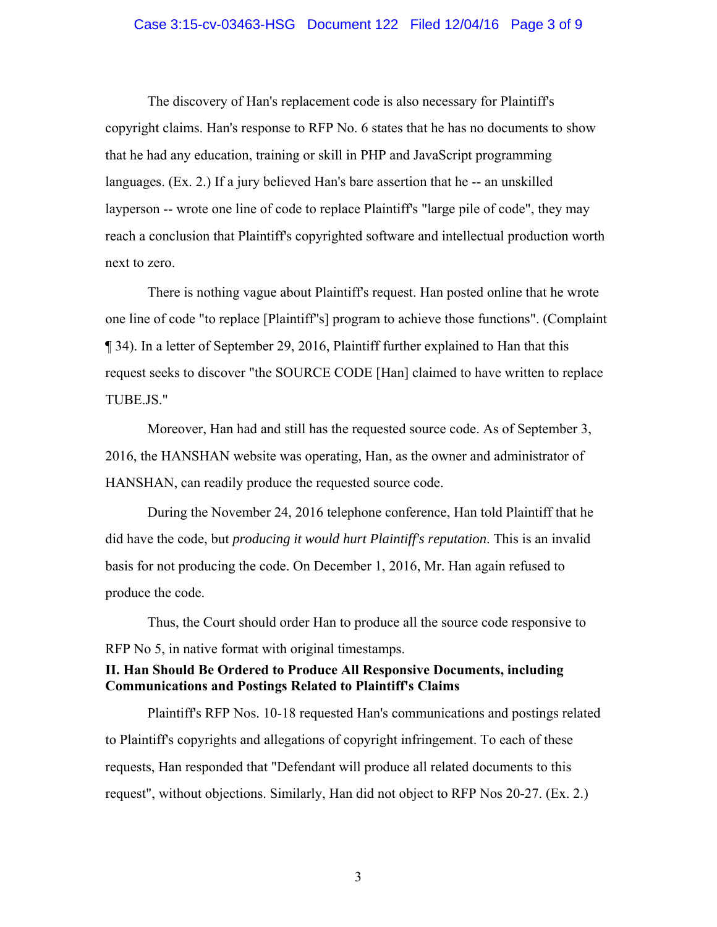### Case 3:15-cv-03463-HSG Document 122 Filed 12/04/16 Page 3 of 9

 The discovery of Han's replacement code is also necessary for Plaintiff's copyright claims. Han's response to RFP No. 6 states that he has no documents to show that he had any education, training or skill in PHP and JavaScript programming languages. (Ex. 2.) If a jury believed Han's bare assertion that he -- an unskilled layperson -- wrote one line of code to replace Plaintiff's "large pile of code", they may reach a conclusion that Plaintiff's copyrighted software and intellectual production worth next to zero.

There is nothing vague about Plaintiff's request. Han posted online that he wrote one line of code "to replace [Plaintiff''s] program to achieve those functions". (Complaint ¶ 34). In a letter of September 29, 2016, Plaintiff further explained to Han that this request seeks to discover "the SOURCE CODE [Han] claimed to have written to replace TUBE.JS."

 Moreover, Han had and still has the requested source code. As of September 3, 2016, the HANSHAN website was operating, Han, as the owner and administrator of HANSHAN, can readily produce the requested source code.

 During the November 24, 2016 telephone conference, Han told Plaintiff that he did have the code, but *producing it would hurt Plaintiff's reputation*. This is an invalid basis for not producing the code. On December 1, 2016, Mr. Han again refused to produce the code.

 Thus, the Court should order Han to produce all the source code responsive to RFP No 5, in native format with original timestamps.

# **II. Han Should Be Ordered to Produce All Responsive Documents, including Communications and Postings Related to Plaintiff's Claims**

 Plaintiff's RFP Nos. 10-18 requested Han's communications and postings related to Plaintiff's copyrights and allegations of copyright infringement. To each of these requests, Han responded that "Defendant will produce all related documents to this request", without objections. Similarly, Han did not object to RFP Nos 20-27. (Ex. 2.)

3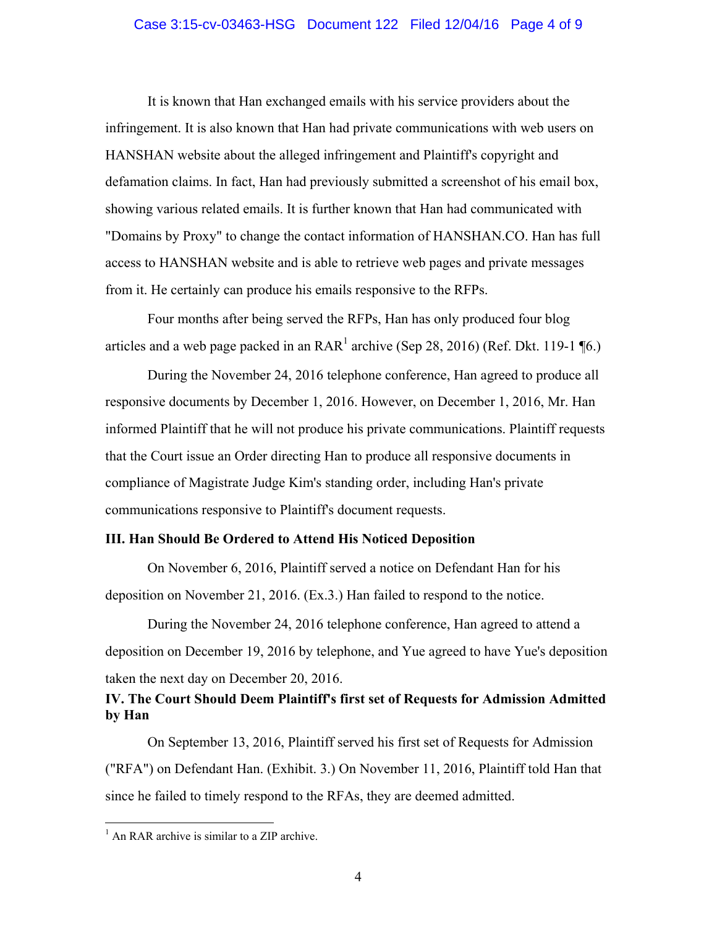### Case 3:15-cv-03463-HSG Document 122 Filed 12/04/16 Page 4 of 9

 It is known that Han exchanged emails with his service providers about the infringement. It is also known that Han had private communications with web users on HANSHAN website about the alleged infringement and Plaintiff's copyright and defamation claims. In fact, Han had previously submitted a screenshot of his email box, showing various related emails. It is further known that Han had communicated with "Domains by Proxy" to change the contact information of HANSHAN.CO. Han has full access to HANSHAN website and is able to retrieve web pages and private messages from it. He certainly can produce his emails responsive to the RFPs.

 Four months after being served the RFPs, Han has only produced four blog articles and a web page packed in an  $\text{RAR}^1$  archive (Sep 28, 2016) (Ref. Dkt. 119-1 ¶6.)

 During the November 24, 2016 telephone conference, Han agreed to produce all responsive documents by December 1, 2016. However, on December 1, 2016, Mr. Han informed Plaintiff that he will not produce his private communications. Plaintiff requests that the Court issue an Order directing Han to produce all responsive documents in compliance of Magistrate Judge Kim's standing order, including Han's private communications responsive to Plaintiff's document requests.

## **III. Han Should Be Ordered to Attend His Noticed Deposition**

 On November 6, 2016, Plaintiff served a notice on Defendant Han for his deposition on November 21, 2016. (Ex.3.) Han failed to respond to the notice.

 During the November 24, 2016 telephone conference, Han agreed to attend a deposition on December 19, 2016 by telephone, and Yue agreed to have Yue's deposition taken the next day on December 20, 2016.

## **IV. The Court Should Deem Plaintiff's first set of Requests for Admission Admitted by Han**

 On September 13, 2016, Plaintiff served his first set of Requests for Admission ("RFA") on Defendant Han. (Exhibit. 3.) On November 11, 2016, Plaintiff told Han that since he failed to timely respond to the RFAs, they are deemed admitted.

 $\overline{a}$ 

<sup>&</sup>lt;sup>1</sup> An RAR archive is similar to a ZIP archive.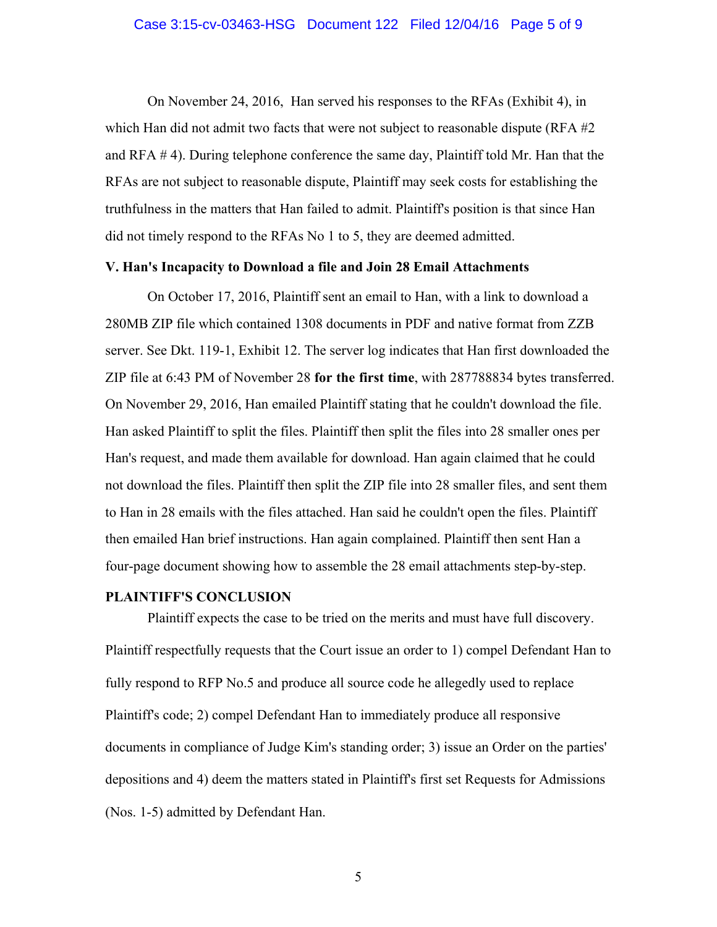On November 24, 2016, Han served his responses to the RFAs (Exhibit 4), in which Han did not admit two facts that were not subject to reasonable dispute (RFA #2) and RFA # 4). During telephone conference the same day, Plaintiff told Mr. Han that the RFAs are not subject to reasonable dispute, Plaintiff may seek costs for establishing the truthfulness in the matters that Han failed to admit. Plaintiff's position is that since Han did not timely respond to the RFAs No 1 to 5, they are deemed admitted.

## **V. Han's Incapacity to Download a file and Join 28 Email Attachments**

 On October 17, 2016, Plaintiff sent an email to Han, with a link to download a 280MB ZIP file which contained 1308 documents in PDF and native format from ZZB server. See Dkt. 119-1, Exhibit 12. The server log indicates that Han first downloaded the ZIP file at 6:43 PM of November 28 **for the first time**, with 287788834 bytes transferred. On November 29, 2016, Han emailed Plaintiff stating that he couldn't download the file. Han asked Plaintiff to split the files. Plaintiff then split the files into 28 smaller ones per Han's request, and made them available for download. Han again claimed that he could not download the files. Plaintiff then split the ZIP file into 28 smaller files, and sent them to Han in 28 emails with the files attached. Han said he couldn't open the files. Plaintiff then emailed Han brief instructions. Han again complained. Plaintiff then sent Han a four-page document showing how to assemble the 28 email attachments step-by-step.

### **PLAINTIFF'S CONCLUSION**

 Plaintiff expects the case to be tried on the merits and must have full discovery. Plaintiff respectfully requests that the Court issue an order to 1) compel Defendant Han to fully respond to RFP No.5 and produce all source code he allegedly used to replace Plaintiff's code; 2) compel Defendant Han to immediately produce all responsive documents in compliance of Judge Kim's standing order; 3) issue an Order on the parties' depositions and 4) deem the matters stated in Plaintiff's first set Requests for Admissions (Nos. 1-5) admitted by Defendant Han.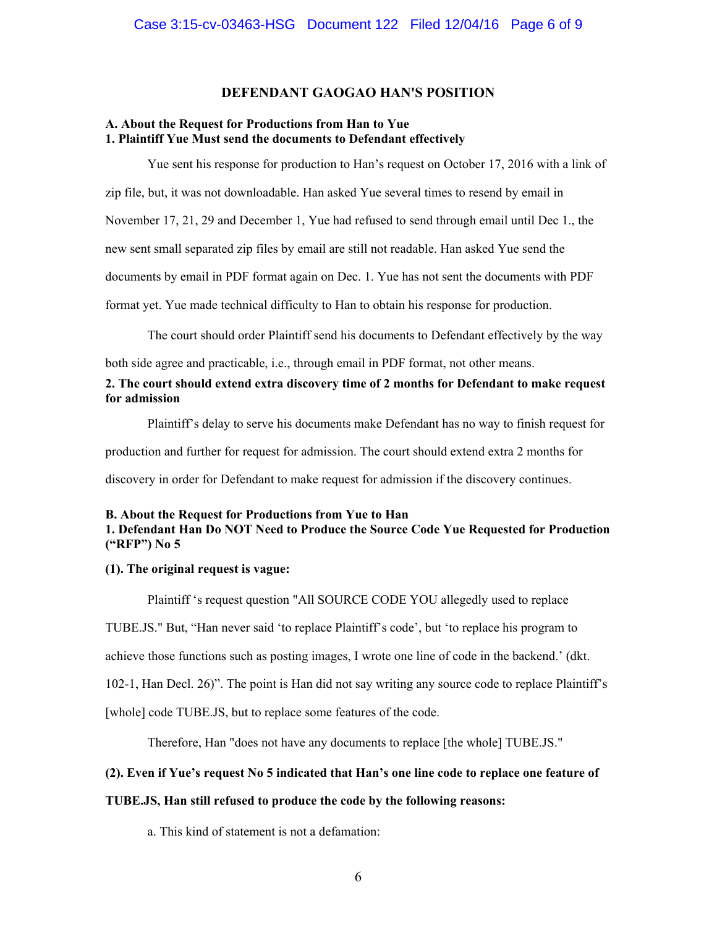## **DEFENDANT GAOGAO HAN'S POSITION**

## **A. About the Request for Productions from Han to Yue 1. Plaintiff Yue Must send the documents to Defendant effectively**

Yue sent his response for production to Han's request on October 17, 2016 with a link of zip file, but, it was not downloadable. Han asked Yue several times to resend by email in November 17, 21, 29 and December 1, Yue had refused to send through email until Dec 1., the new sent small separated zip files by email are still not readable. Han asked Yue send the documents by email in PDF format again on Dec. 1. Yue has not sent the documents with PDF format yet. Yue made technical difficulty to Han to obtain his response for production.

The court should order Plaintiff send his documents to Defendant effectively by the way

both side agree and practicable, i.e., through email in PDF format, not other means.

## **2. The court should extend extra discovery time of 2 months for Defendant to make request for admission**

Plaintiff's delay to serve his documents make Defendant has no way to finish request for

production and further for request for admission. The court should extend extra 2 months for

discovery in order for Defendant to make request for admission if the discovery continues.

## **B. About the Request for Productions from Yue to Han 1. Defendant Han Do NOT Need to Produce the Source Code Yue Requested for Production ("RFP") No 5**

## **(1). The original request is vague:**

 Plaintiff 's request question "All SOURCE CODE YOU allegedly used to replace TUBE.JS." But, "Han never said 'to replace Plaintiff's code', but 'to replace his program to achieve those functions such as posting images, I wrote one line of code in the backend.' (dkt. 102-1, Han Decl. 26)". The point is Han did not say writing any source code to replace Plaintiff's [whole] code TUBE.JS, but to replace some features of the code.

Therefore, Han "does not have any documents to replace [the whole] TUBE.JS."

## **(2). Even if Yue's request No 5 indicated that Han's one line code to replace one feature of**

## **TUBE.JS, Han still refused to produce the code by the following reasons:**

a. This kind of statement is not a defamation: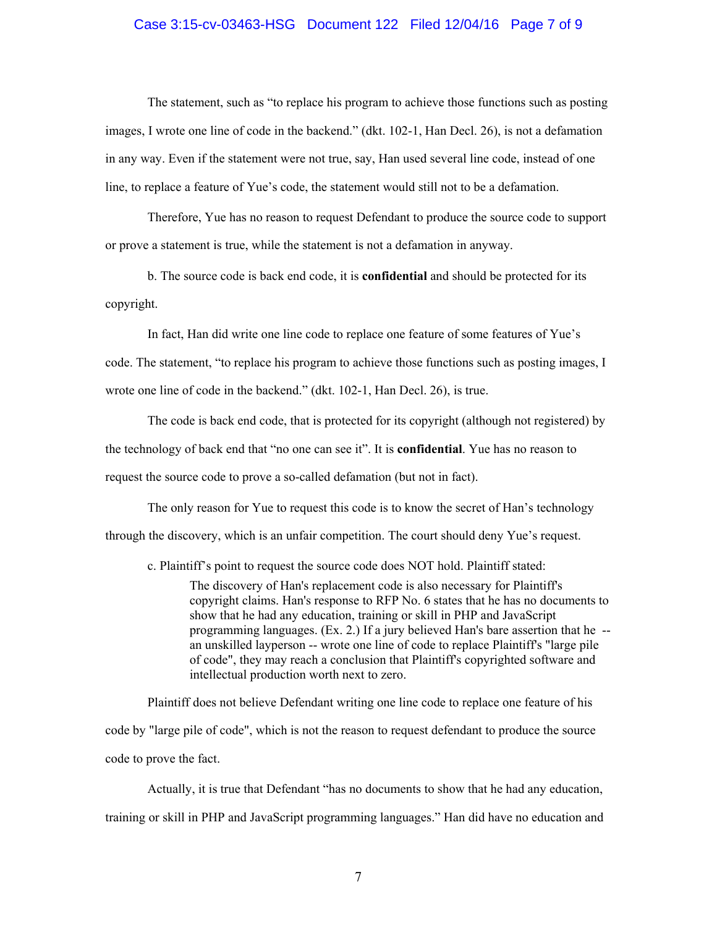### Case 3:15-cv-03463-HSG Document 122 Filed 12/04/16 Page 7 of 9

 The statement, such as "to replace his program to achieve those functions such as posting images, I wrote one line of code in the backend." (dkt. 102-1, Han Decl. 26), is not a defamation in any way. Even if the statement were not true, say, Han used several line code, instead of one line, to replace a feature of Yue's code, the statement would still not to be a defamation.

 Therefore, Yue has no reason to request Defendant to produce the source code to support or prove a statement is true, while the statement is not a defamation in anyway.

 b. The source code is back end code, it is **confidential** and should be protected for its copyright.

 In fact, Han did write one line code to replace one feature of some features of Yue's code. The statement, "to replace his program to achieve those functions such as posting images, I wrote one line of code in the backend." (dkt. 102-1, Han Decl. 26), is true.

 The code is back end code, that is protected for its copyright (although not registered) by the technology of back end that "no one can see it". It is **confidential**. Yue has no reason to request the source code to prove a so-called defamation (but not in fact).

 The only reason for Yue to request this code is to know the secret of Han's technology through the discovery, which is an unfair competition. The court should deny Yue's request.

c. Plaintiff's point to request the source code does NOT hold. Plaintiff stated:

The discovery of Han's replacement code is also necessary for Plaintiff's copyright claims. Han's response to RFP No. 6 states that he has no documents to show that he had any education, training or skill in PHP and JavaScript programming languages. (Ex. 2.) If a jury believed Han's bare assertion that he - an unskilled layperson -- wrote one line of code to replace Plaintiff's "large pile of code", they may reach a conclusion that Plaintiff's copyrighted software and intellectual production worth next to zero.

 Plaintiff does not believe Defendant writing one line code to replace one feature of his code by "large pile of code", which is not the reason to request defendant to produce the source code to prove the fact.

 Actually, it is true that Defendant "has no documents to show that he had any education, training or skill in PHP and JavaScript programming languages." Han did have no education and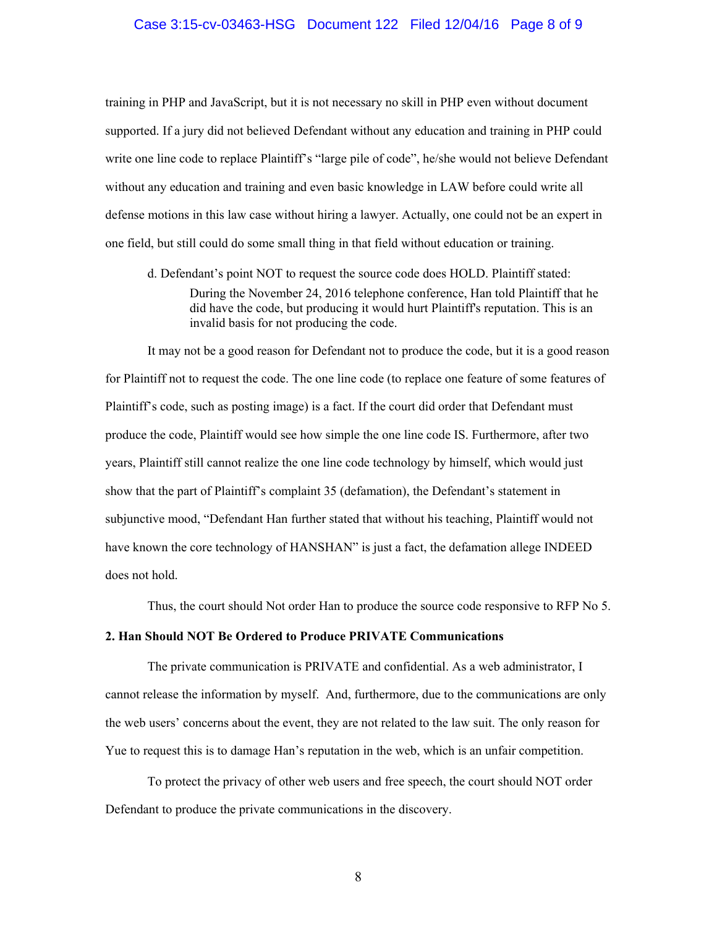### Case 3:15-cv-03463-HSG Document 122 Filed 12/04/16 Page 8 of 9

training in PHP and JavaScript, but it is not necessary no skill in PHP even without document supported. If a jury did not believed Defendant without any education and training in PHP could write one line code to replace Plaintiff's "large pile of code", he/she would not believe Defendant without any education and training and even basic knowledge in LAW before could write all defense motions in this law case without hiring a lawyer. Actually, one could not be an expert in one field, but still could do some small thing in that field without education or training.

 d. Defendant's point NOT to request the source code does HOLD. Plaintiff stated: During the November 24, 2016 telephone conference, Han told Plaintiff that he did have the code, but producing it would hurt Plaintiff's reputation. This is an invalid basis for not producing the code.

 It may not be a good reason for Defendant not to produce the code, but it is a good reason for Plaintiff not to request the code. The one line code (to replace one feature of some features of Plaintiff's code, such as posting image) is a fact. If the court did order that Defendant must produce the code, Plaintiff would see how simple the one line code IS. Furthermore, after two years, Plaintiff still cannot realize the one line code technology by himself, which would just show that the part of Plaintiff's complaint 35 (defamation), the Defendant's statement in subjunctive mood, "Defendant Han further stated that without his teaching, Plaintiff would not have known the core technology of HANSHAN" is just a fact, the defamation allege INDEED does not hold.

Thus, the court should Not order Han to produce the source code responsive to RFP No 5.

### **2. Han Should NOT Be Ordered to Produce PRIVATE Communications**

 The private communication is PRIVATE and confidential. As a web administrator, I cannot release the information by myself. And, furthermore, due to the communications are only the web users' concerns about the event, they are not related to the law suit. The only reason for Yue to request this is to damage Han's reputation in the web, which is an unfair competition.

 To protect the privacy of other web users and free speech, the court should NOT order Defendant to produce the private communications in the discovery.

8